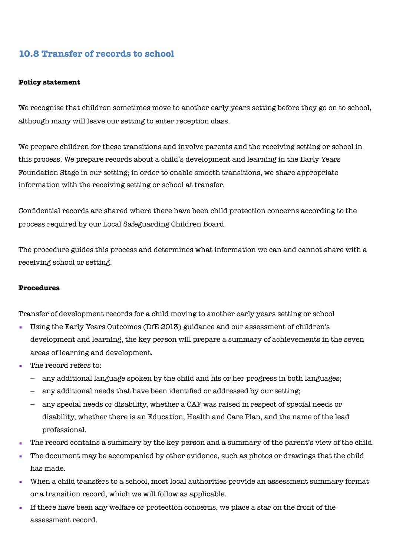# **10.8 Transfer of records to school**

### **Policy statement**

We recognise that children sometimes move to another early years setting before they go on to school, although many will leave our setting to enter reception class.

We prepare children for these transitions and involve parents and the receiving setting or school in this process. We prepare records about a child's development and learning in the Early Years Foundation Stage in our setting; in order to enable smooth transitions, we share appropriate information with the receiving setting or school at transfer.

Confidential records are shared where there have been child protection concerns according to the process required by our Local Safeguarding Children Board.

The procedure guides this process and determines what information we can and cannot share with a receiving school or setting.

### **Procedures**

Transfer of development records for a child moving to another early years setting or school

- Using the Early Years Outcomes (DfE 2013) guidance and our assessment of children's development and learning, the key person will prepare a summary of achievements in the seven areas of learning and development.
- The record refers to:
	- any additional language spoken by the child and his or her progress in both languages;
	- any additional needs that have been identified or addressed by our setting;
	- any special needs or disability, whether a CAF was raised in respect of special needs or disability, whether there is an Education, Health and Care Plan, and the name of the lead professional.
- The record contains a summary by the key person and a summary of the parent's view of the child.
- The document may be accompanied by other evidence, such as photos or drawings that the child has made.
- When a child transfers to a school, most local authorities provide an assessment summary format or a transition record, which we will follow as applicable.
- If there have been any welfare or protection concerns, we place a star on the front of the assessment record.